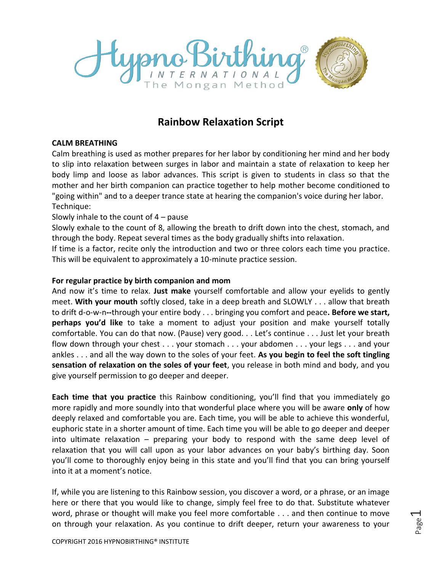

## **Rainbow Relaxation Script**

## **CALM BREATHING**

Calm breathing is used as mother prepares for her labor by conditioning her mind and her body to slip into relaxation between surges in labor and maintain a state of relaxation to keep her body limp and loose as labor advances. This script is given to students in class so that the mother and her birth companion can practice together to help mother become conditioned to "going within" and to a deeper trance state at hearing the companion's voice during her labor. Technique:

## Slowly inhale to the count of  $4$  – pause

Slowly exhale to the count of 8, allowing the breath to drift down into the chest, stomach, and through the body. Repeat several times as the body gradually shifts into relaxation.

If time is a factor, recite only the introduction and two or three colors each time you practice. This will be equivalent to approximately a 10-minute practice session.

## **For regular practice by birth companion and mom**

And now it's time to relax. **Just make** yourself comfortable and allow your eyelids to gently meet. **With your mouth** softly closed, take in a deep breath and SLOWLY . . . allow that breath to drift d-o-w-n**--**through your entire body . . . bringing you comfort and peace**. Before we start, perhaps you'd like** to take a moment to adjust your position and make yourself totally comfortable. You can do that now. (Pause) very good. . . Let's continue . . . Just let your breath flow down through your chest . . . your stomach . . . your abdomen . . . your legs . . . and your ankles . . . and all the way down to the soles of your feet. **As you begin to feel the soft tingling sensation of relaxation on the soles of your feet**, you release in both mind and body, and you give yourself permission to go deeper and deeper.

**Each time that you practice** this Rainbow conditioning, you'll find that you immediately go more rapidly and more soundly into that wonderful place where you will be aware **only** of how deeply relaxed and comfortable you are. Each time, you will be able to achieve this wonderful, euphoric state in a shorter amount of time. Each time you will be able to go deeper and deeper into ultimate relaxation – preparing your body to respond with the same deep level of relaxation that you will call upon as your labor advances on your baby's birthing day. Soon you'll come to thoroughly enjoy being in this state and you'll find that you can bring yourself into it at a moment's notice.

If, while you are listening to this Rainbow session, you discover a word, or a phrase, or an image here or there that you would like to change, simply feel free to do that. Substitute whatever word, phrase or thought will make you feel more comfortable . . . and then continue to move on through your relaxation. As you continue to drift deeper, return your awareness to your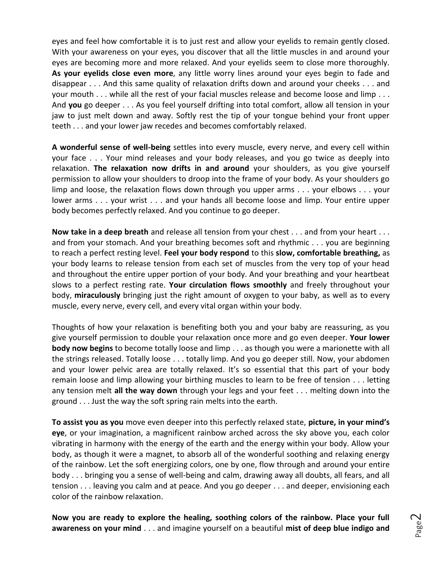eyes and feel how comfortable it is to just rest and allow your eyelids to remain gently closed. With your awareness on your eyes, you discover that all the little muscles in and around your eyes are becoming more and more relaxed. And your eyelids seem to close more thoroughly. **As your eyelids close even more**, any little worry lines around your eyes begin to fade and disappear . . . And this same quality of relaxation drifts down and around your cheeks . . . and your mouth . . . while all the rest of your facial muscles release and become loose and limp . . . And **you** go deeper . . . As you feel yourself drifting into total comfort, allow all tension in your jaw to just melt down and away. Softly rest the tip of your tongue behind your front upper teeth . . . and your lower jaw recedes and becomes comfortably relaxed.

**A wonderful sense of well-being** settles into every muscle, every nerve, and every cell within your face . . . Your mind releases and your body releases, and you go twice as deeply into relaxation. **The relaxation now drifts in and around** your shoulders, as you give yourself permission to allow your shoulders to droop into the frame of your body. As your shoulders go limp and loose, the relaxation flows down through you upper arms . . . your elbows . . . your lower arms . . . your wrist . . . and your hands all become loose and limp. Your entire upper body becomes perfectly relaxed. And you continue to go deeper.

**Now take in a deep breath** and release all tension from your chest . . . and from your heart . . . and from your stomach. And your breathing becomes soft and rhythmic . . . you are beginning to reach a perfect resting level. **Feel your body respond** to this **slow, comfortable breathing,** as your body learns to release tension from each set of muscles from the very top of your head and throughout the entire upper portion of your body. And your breathing and your heartbeat slows to a perfect resting rate. **Your circulation flows smoothly** and freely throughout your body, **miraculously** bringing just the right amount of oxygen to your baby, as well as to every muscle, every nerve, every cell, and every vital organ within your body.

Thoughts of how your relaxation is benefiting both you and your baby are reassuring, as you give yourself permission to double your relaxation once more and go even deeper. **Your lower body now begins** to become totally loose and limp . . . as though you were a marionette with all the strings released. Totally loose . . . totally limp. And you go deeper still. Now, your abdomen and your lower pelvic area are totally relaxed. It's so essential that this part of your body remain loose and limp allowing your birthing muscles to learn to be free of tension . . . letting any tension melt **all the way down** through your legs and your feet . . . melting down into the ground . . . Just the way the soft spring rain melts into the earth.

**To assist you as you** move even deeper into this perfectly relaxed state, **picture, in your mind's eye**, or your imagination, a magnificent rainbow arched across the sky above you, each color vibrating in harmony with the energy of the earth and the energy within your body. Allow your body, as though it were a magnet, to absorb all of the wonderful soothing and relaxing energy of the rainbow. Let the soft energizing colors, one by one, flow through and around your entire body . . . bringing you a sense of well-being and calm, drawing away all doubts, all fears, and all tension . . . leaving you calm and at peace. And you go deeper . . . and deeper, envisioning each color of the rainbow relaxation.

**Now you are ready to explore the healing, soothing colors of the rainbow. Place your full awareness on your mind** . . . and imagine yourself on a beautiful **mist of deep blue indigo and**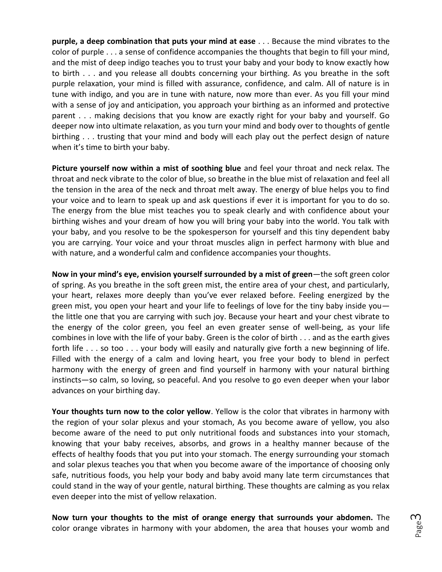**purple, a deep combination that puts your mind at ease** . . . Because the mind vibrates to the color of purple . . . a sense of confidence accompanies the thoughts that begin to fill your mind, and the mist of deep indigo teaches you to trust your baby and your body to know exactly how to birth . . . and you release all doubts concerning your birthing. As you breathe in the soft purple relaxation, your mind is filled with assurance, confidence, and calm. All of nature is in tune with indigo, and you are in tune with nature, now more than ever. As you fill your mind with a sense of joy and anticipation, you approach your birthing as an informed and protective parent . . . making decisions that you know are exactly right for your baby and yourself. Go deeper now into ultimate relaxation, as you turn your mind and body over to thoughts of gentle birthing . . . trusting that your mind and body will each play out the perfect design of nature when it's time to birth your baby.

**Picture yourself now within a mist of soothing blue** and feel your throat and neck relax. The throat and neck vibrate to the color of blue, so breathe in the blue mist of relaxation and feel all the tension in the area of the neck and throat melt away. The energy of blue helps you to find your voice and to learn to speak up and ask questions if ever it is important for you to do so. The energy from the blue mist teaches you to speak clearly and with confidence about your birthing wishes and your dream of how you will bring your baby into the world. You talk with your baby, and you resolve to be the spokesperson for yourself and this tiny dependent baby you are carrying. Your voice and your throat muscles align in perfect harmony with blue and with nature, and a wonderful calm and confidence accompanies your thoughts.

**Now in your mind's eye, envision yourself surrounded by a mist of green**—the soft green color of spring. As you breathe in the soft green mist, the entire area of your chest, and particularly, your heart, relaxes more deeply than you've ever relaxed before. Feeling energized by the green mist, you open your heart and your life to feelings of love for the tiny baby inside you the little one that you are carrying with such joy. Because your heart and your chest vibrate to the energy of the color green, you feel an even greater sense of well-being, as your life combines in love with the life of your baby. Green is the color of birth . . . and as the earth gives forth life . . . so too . . . your body will easily and naturally give forth a new beginning of life. Filled with the energy of a calm and loving heart, you free your body to blend in perfect harmony with the energy of green and find yourself in harmony with your natural birthing instincts—so calm, so loving, so peaceful. And you resolve to go even deeper when your labor advances on your birthing day.

**Your thoughts turn now to the color yellow**. Yellow is the color that vibrates in harmony with the region of your solar plexus and your stomach, As you become aware of yellow, you also become aware of the need to put only nutritional foods and substances into your stomach, knowing that your baby receives, absorbs, and grows in a healthy manner because of the effects of healthy foods that you put into your stomach. The energy surrounding your stomach and solar plexus teaches you that when you become aware of the importance of choosing only safe, nutritious foods, you help your body and baby avoid many late term circumstances that could stand in the way of your gentle, natural birthing. These thoughts are calming as you relax even deeper into the mist of yellow relaxation.

**Now turn your thoughts to the mist of orange energy that surrounds your abdomen.** The color orange vibrates in harmony with your abdomen, the area that houses your womb and